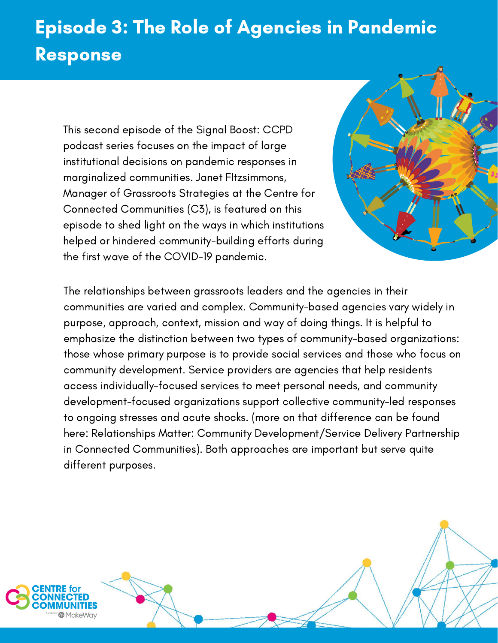## Episode 3: The Role of Agencies in Pandemic Response

This second episode of the Signal Boost: CCPD podcast series focuses on the impact of large institutional decisions on pandemic responses in marginalized communities. Janet FItzsimmons, Manager of Grassroots Strategies at the Centre for Connected [Communities](https://connectedcommunities.ca/) (C3), is featured on this episode to shed light on the ways in which institutions helped or hindered community-building efforts during the first wave of the COVID-19 pandemic.



The relationships between grassroots leaders and the agencies in their communities are varied and complex. Community-based agencies vary widely in purpose, approach, context, mission and way of doing things. It is helpful to emphasize the distinction between two types of community-based organizations: those whose primary purpose is to provide social services and those who focus on community development. Service providers are agencies that help residents access individually-focused services to meet personal needs, and community development-focused organizations support collective community-led responses to ongoing stresses and acute shocks. (more on that difference can be found here: Relationships Matter: Community [Development/Service](https://drive.google.com/file/d/1X64CuIzELTXc0qixqmNllaxJWBkNez92/view) Delivery Partnership in Connected Communities). Both approaches are important but serve quite different purposes.



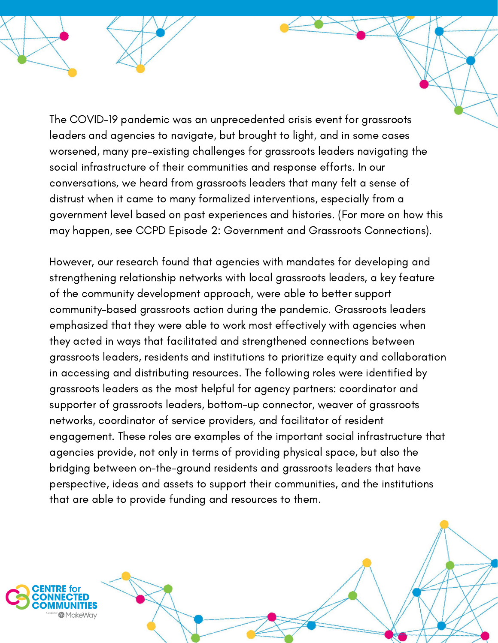The COVID-19 pandemic was an unprecedented crisis event for grassroots leaders and agencies to navigate, but brought to light, and in some cases worsened, many pre-existing challenges for grassroots leaders navigating the social infrastructure of their communities and response efforts. In our conversations, we heard from grassroots leaders that many felt a sense of distrust when it came to many formalized interventions, especially from a government level based on past experiences and histories. (For more on how this may happen, see CCPD Episode 2: Government and Grassroots Connections).

However, our research found that agencies with mandates for developing and strengthening relationship networks with local grassroots leaders, a key feature of the community development approach, were able to better support community-based grassroots action during the pandemic. Grassroots leaders emphasized that they were able to work most effectively with agencies when they acted in ways that facilitated and strengthened connections between grassroots leaders, residents and institutions to prioritize equity and collaboration in accessing and distributing resources. The following roles were identified by grassroots leaders as the most helpful for agency partners: coordinator and supporter of grassroots leaders, bottom-up connector, weaver of grassroots networks, coordinator of service providers, and facilitator of resident engagement. These roles are examples of the important social infrastructure that agencies provide, not only in terms of providing physical space, but also the bridging between on-the-ground residents and grassroots leaders that have perspective, ideas and assets to support their communities, and the institutions that are able to provide funding and resources to them.

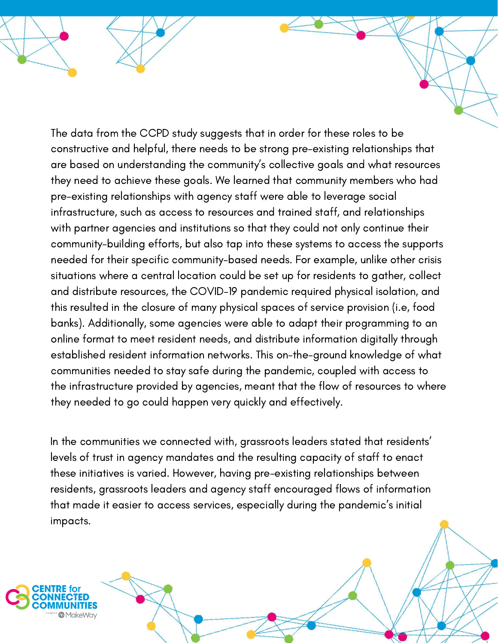The data from the CCPD study suggests that in order for these roles to be constructive and helpful, there needs to be strong pre-existing relationships that are based on understanding the community's collective goals and what resources they need to achieve these goals. We learned that community members who had pre-existing relationships with agency staff were able to leverage social infrastructure, such as access to resources and trained staff, and relationships with partner agencies and institutions so that they could not only continue their community-building efforts, but also tap into these systems to access the supports needed for their specific community-based needs. For example, unlike other crisis situations where a central location could be set up for residents to gather, collect and distribute resources, the COVID-19 pandemic required physical isolation, and this resulted in the closure of many physical spaces of service provision (i.e, food banks). Additionally, some agencies were able to adapt their programming to an online format to meet resident needs, and distribute information digitally through established resident information networks. This on-the-ground knowledge of what communities needed to stay safe during the pandemic, coupled with access to the infrastructure provided by agencies, meant that the flow of resources to where they needed to go could happen very quickly and effectively.

In the communities we connected with, grassroots leaders stated that residents' levels of trust in agency mandates and the resulting capacity of staff to enact these initiatives is varied. However, having pre-existing relationships between residents, grassroots leaders and agency staff encouraged flows of information that made it easier to access services, especially during the pandemic's initial impacts.